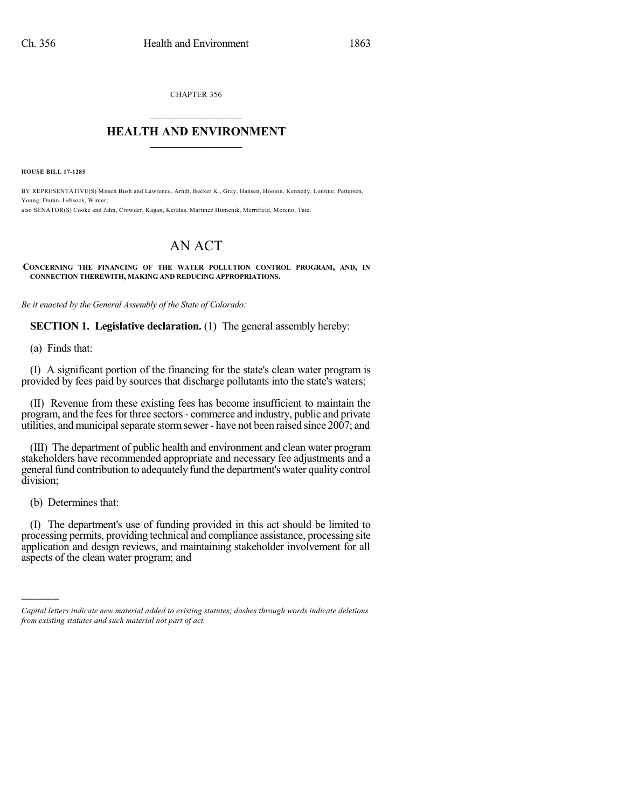CHAPTER 356  $\overline{\phantom{a}}$  . The set of the set of the set of the set of the set of the set of the set of the set of the set of the set of the set of the set of the set of the set of the set of the set of the set of the set of the set o

## **HEALTH AND ENVIRONMENT**  $\_$

**HOUSE BILL 17-1285**

BY REPRESENTATIVE(S) Mitsch Bush and Lawrence, Arndt, Becker K., Gray, Hansen, Hooton, Kennedy, Lontine, Pettersen, Young, Duran, Lebsock, Winter; also SENATOR(S) Cooke and Jahn, Crowder, Kagan, Kefalas, Martinez Humenik, Merrifield, Moreno, Tate.

# AN ACT

**CONCERNING THE FINANCING OF THE WATER POLLUTION CONTROL PROGRAM, AND, IN CONNECTION THEREWITH, MAKING AND REDUCING APPROPRIATIONS.**

*Be it enacted by the General Assembly of the State of Colorado:*

**SECTION 1. Legislative declaration.** (1) The general assembly hereby:

(a) Finds that:

(I) A significant portion of the financing for the state's clean water program is provided by fees paid by sources that discharge pollutants into the state's waters;

(II) Revenue from these existing fees has become insufficient to maintain the program, and the fees for three sectors - commerce and industry, public and private utilities, and municipalseparate stormsewer- have not been raised since 2007; and

(III) The department of public health and environment and clean water program stakeholders have recommended appropriate and necessary fee adjustments and a general fund contribution to adequately fund the department's water quality control division;

(b) Determines that:

)))))

(I) The department's use of funding provided in this act should be limited to processing permits, providing technical and compliance assistance, processing site application and design reviews, and maintaining stakeholder involvement for all aspects of the clean water program; and

*Capital letters indicate new material added to existing statutes; dashes through words indicate deletions from existing statutes and such material not part of act.*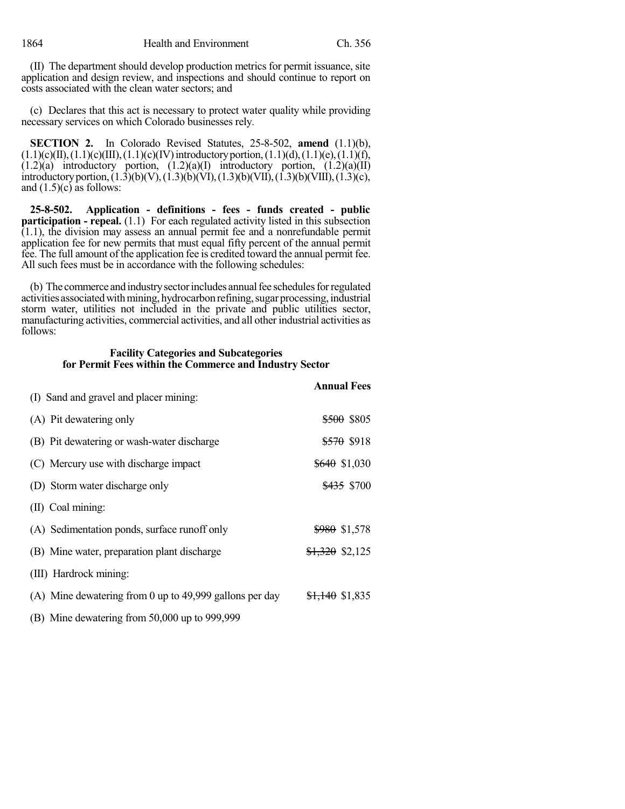(II) The department should develop production metrics for permit issuance, site application and design review, and inspections and should continue to report on costs associated with the clean water sectors; and

(c) Declares that this act is necessary to protect water quality while providing necessary services on which Colorado businesses rely.

**SECTION 2.** In Colorado Revised Statutes, 25-8-502, **amend** (1.1)(b),  $(1.1)(c)(II), (1.1)(c)(III), (1.1)(c)(IV)$  introductory portion,  $(1.1)(d), (1.1)(e), (1.1)(f),$  $(1.2)(a)$  introductory portion,  $(1.2)(a)(I)$  introductory portion,  $(1.2)(a)(II)$ introductoryportion,(1.3)(b)(V),(1.3)(b)(VI),(1.3)(b)(VII),(1.3)(b)(VIII),(1.3)(c), and  $(1.5)(c)$  as follows:

**25-8-502. Application - definitions - fees - funds created - public participation - repeal.** (1.1) For each regulated activity listed in this subsection  $(1.1)$ , the division may assess an annual permit fee and a nonrefundable permit application fee for new permits that must equal fifty percent of the annual permit fee. The full amount of the application fee is credited toward the annual permit fee. All such fees must be in accordance with the following schedules:

(b) The commerce and industry sector includes annual fee schedules for regulated activities associated with mining, hydrocarbon refining, sugar processing, industrial storm water, utilities not included in the private and public utilities sector, manufacturing activities, commercial activities, and all other industrial activities as follows:

## **Facility Categories and Subcategories for Permit Fees within the Commerce and Industry Sector**

|                                                         | <b>Annual Fees</b>         |
|---------------------------------------------------------|----------------------------|
| (I) Sand and gravel and placer mining:                  |                            |
| (A) Pit dewatering only                                 | <del>\$500</del> \$805     |
| (B) Pit dewatering or wash-water discharge              | <del>\$570</del> \$918     |
| (C) Mercury use with discharge impact                   | $$640$ \$1,030             |
| (D) Storm water discharge only                          | <del>\$435</del> \$700     |
| (II) Coal mining:                                       |                            |
| (A) Sedimentation ponds, surface runoff only            | \$980 \$1,578              |
| (B) Mine water, preparation plant discharge             | $$1,320$ \$2,125           |
| (III) Hardrock mining:                                  |                            |
| (A) Mine dewatering from 0 up to 49,999 gallons per day | <del>\$1,140</del> \$1,835 |
| (B) Mine dewatering from 50,000 up to 999,999           |                            |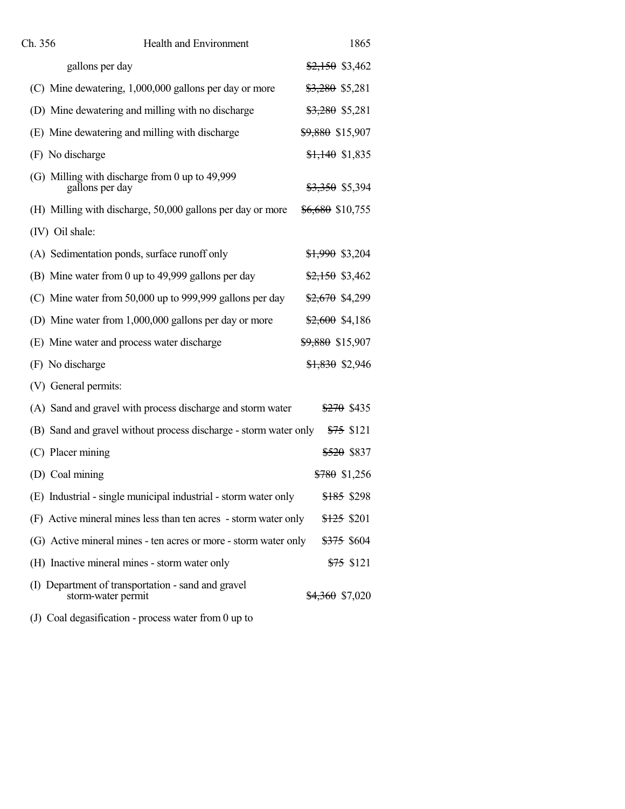| Ch. 356         | <b>Health and Environment</b>                                            | 1865                            |
|-----------------|--------------------------------------------------------------------------|---------------------------------|
|                 | gallons per day                                                          | $\frac{$2,150}{$2,150}$ \$3,462 |
|                 | (C) Mine dewatering, 1,000,000 gallons per day or more                   | <del>\$3,280</del> \$5,281      |
|                 | (D) Mine dewatering and milling with no discharge                        | <del>\$3,280</del> \$5,281      |
|                 | (E) Mine dewatering and milling with discharge                           | \$9,880 \$15,907                |
|                 | (F) No discharge                                                         | <del>\$1,140</del> \$1,835      |
|                 | (G) Milling with discharge from 0 up to 49,999<br>gallons per day        | <del>\$3,350</del> \$5,394      |
|                 | (H) Milling with discharge, 50,000 gallons per day or more               | <del>\$6,680</del> \$10,755     |
| (IV) Oil shale: |                                                                          |                                 |
|                 | (A) Sedimentation ponds, surface runoff only                             | <del>\$1,990</del> \$3,204      |
|                 | (B) Mine water from 0 up to 49,999 gallons per day                       | $\frac{$2,150}{$3,462}$         |
|                 | (C) Mine water from 50,000 up to 999,999 gallons per day                 | <del>\$2,670</del> \$4,299      |
|                 | (D) Mine water from 1,000,000 gallons per day or more                    | $$2,600$ \$4,186                |
|                 | (E) Mine water and process water discharge                               | <del>\$9,880</del> \$15,907     |
|                 | (F) No discharge                                                         | <del>\$1,830</del> \$2,946      |
|                 | (V) General permits:                                                     |                                 |
|                 | (A) Sand and gravel with process discharge and storm water               | <del>\$270</del> \$435          |
|                 | (B) Sand and gravel without process discharge - storm water only         | <del>\$75</del> \$121           |
|                 | (C) Placer mining                                                        | <del>\$520</del> \$837          |
|                 | (D) Coal mining                                                          | <del>\$780</del> \$1,256        |
|                 | (E) Industrial - single municipal industrial - storm water only          | \$185 \$298                     |
|                 | (F) Active mineral mines less than ten acres - storm water only          | <del>\$125</del> \$201          |
|                 | (G) Active mineral mines - ten acres or more - storm water only          | <del>\$375</del> \$604          |
|                 | (H) Inactive mineral mines - storm water only                            | <del>\$75</del> \$121           |
|                 | (I) Department of transportation - sand and gravel<br>storm-water permit | <del>\$4,360</del> \$7,020      |

(J) Coal degasification - process water from 0 up to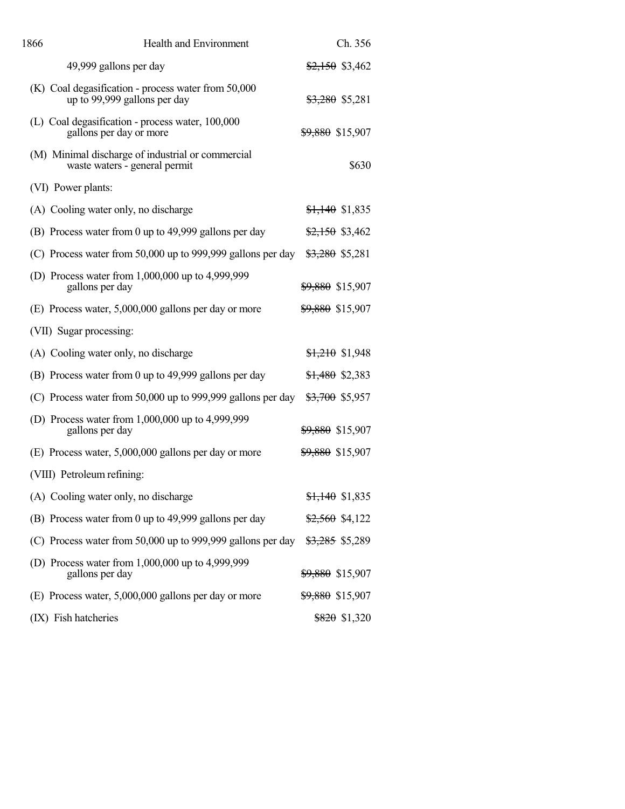| 1866 | <b>Health and Environment</b>                                                       | Ch. 356                     |
|------|-------------------------------------------------------------------------------------|-----------------------------|
|      | 49,999 gallons per day                                                              | $$2,150$ \$3,462            |
|      | (K) Coal degasification - process water from 50,000<br>up to 99,999 gallons per day | <del>\$3,280</del> \$5,281  |
|      | (L) Coal degasification - process water, 100,000<br>gallons per day or more         | <del>\$9,880</del> \$15,907 |
|      | (M) Minimal discharge of industrial or commercial<br>waste waters - general permit  | \$630                       |
|      | (VI) Power plants:                                                                  |                             |
|      | (A) Cooling water only, no discharge                                                | $$1,140$ \$1,835            |
|      | (B) Process water from 0 up to 49,999 gallons per day                               | $$2,150$ \$3,462            |
|      | (C) Process water from 50,000 up to 999,999 gallons per day                         | \$3,280 \$5,281             |
|      | (D) Process water from 1,000,000 up to 4,999,999<br>gallons per day                 | \$9,880 \$15,907            |
|      | (E) Process water, 5,000,000 gallons per day or more                                | <del>\$9,880</del> \$15,907 |
|      | (VII) Sugar processing:                                                             |                             |
|      | (A) Cooling water only, no discharge                                                | $$1,210$ \$1,948            |
|      | (B) Process water from 0 up to 49,999 gallons per day                               | \$1,480 \$2,383             |
|      | (C) Process water from 50,000 up to 999,999 gallons per day                         | <del>\$3,700</del> \$5,957  |
|      | (D) Process water from $1,000,000$ up to $4,999,999$<br>gallons per day             | <del>\$9,880</del> \$15,907 |
|      | (E) Process water, 5,000,000 gallons per day or more                                | <del>\$9,880</del> \$15,907 |
|      | (VIII) Petroleum refining:                                                          |                             |
|      | (A) Cooling water only, no discharge                                                | $$1,140$ \$1,835            |
|      | (B) Process water from 0 up to 49,999 gallons per day                               | $\frac{$2,560}{$4,122}$     |
|      | (C) Process water from 50,000 up to 999,999 gallons per day                         | <del>\$3,285</del> \$5,289  |
|      | (D) Process water from $1,000,000$ up to $4,999,999$<br>gallons per day             | <del>\$9,880</del> \$15,907 |
|      | (E) Process water, 5,000,000 gallons per day or more                                | <del>\$9,880</del> \$15,907 |
|      | (IX) Fish hatcheries                                                                | $$820$ \$1,320              |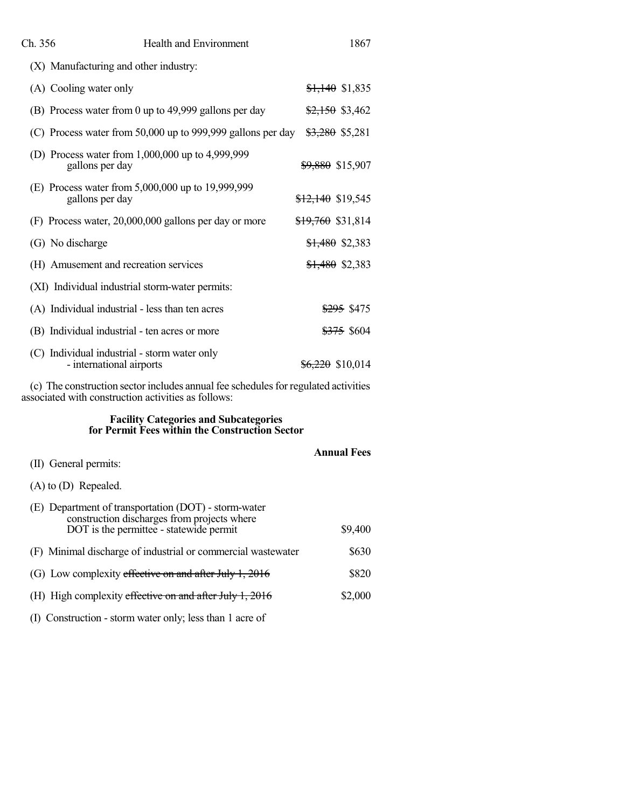| Ch. 356                                                                  | <b>Health and Environment</b>                               | 1867                         |
|--------------------------------------------------------------------------|-------------------------------------------------------------|------------------------------|
| (X) Manufacturing and other industry:                                    |                                                             |                              |
| (A) Cooling water only                                                   |                                                             | $$1,140$ \$1,835             |
|                                                                          | (B) Process water from 0 up to 49,999 gallons per day       | $$2,150$ \$3,462             |
|                                                                          | (C) Process water from 50,000 up to 999,999 gallons per day | \$3,280 \$5,281              |
| gallons per day                                                          | (D) Process water from $1,000,000$ up to $4,999,999$        | <del>\$9,880</del> \$15,907  |
| gallons per day                                                          | (E) Process water from 5,000,000 up to 19,999,999           | \$12,140 \$19,545            |
|                                                                          | (F) Process water, 20,000,000 gallons per day or more       | <del>\$19,760</del> \$31,814 |
| (G) No discharge                                                         |                                                             | $$1,480$ \$2,383             |
| (H) Amusement and recreation services                                    |                                                             | <del>\$1,480</del> \$2,383   |
| (XI) Individual industrial storm-water permits:                          |                                                             |                              |
| (A) Individual industrial - less than ten acres                          |                                                             | <del>\$295</del> \$475       |
| (B) Individual industrial - ten acres or more                            |                                                             | \$375 \$604                  |
| (C) Individual industrial - storm water only<br>- international airports |                                                             | <del>\$6,220</del> \$10,014  |

(c) The construction sector includes annual fee schedules for regulated activities associated with construction activities as follows:

# **Facility Categories and Subcategories for Permit Fees within the Construction Sector**

|                                                                                                                                                | <b>Annual Fees</b> |
|------------------------------------------------------------------------------------------------------------------------------------------------|--------------------|
| (II) General permits:                                                                                                                          |                    |
| $(A)$ to $(D)$ Repealed.                                                                                                                       |                    |
| (E) Department of transportation (DOT) - storm-water<br>construction discharges from projects where<br>DOT is the permittee - statewide permit | \$9,400            |
| (F) Minimal discharge of industrial or commercial wastewater                                                                                   | \$630              |
| (G) Low complexity effective on and after July 1, 2016                                                                                         | \$820              |
| (H) High complexity effective on and after July 1, 2016                                                                                        | \$2,000            |
|                                                                                                                                                |                    |

(I) Construction - storm water only; less than 1 acre of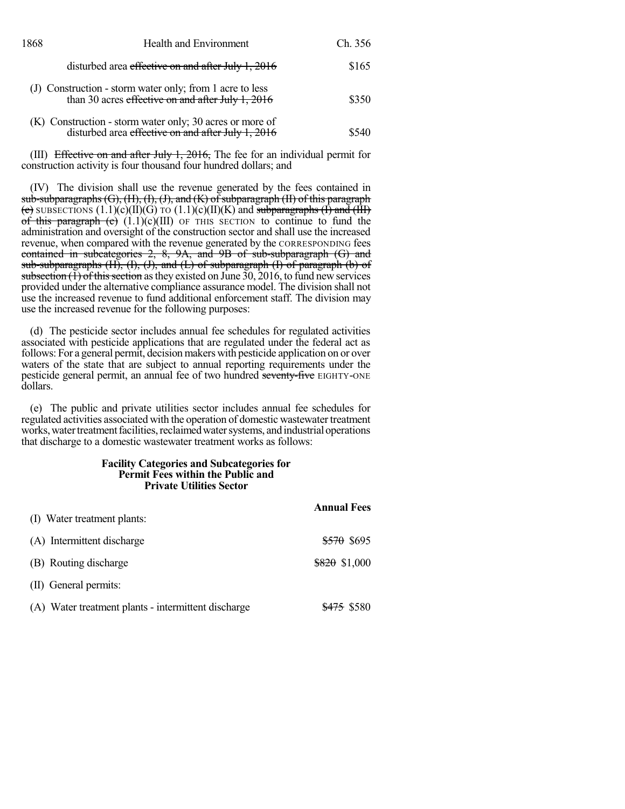| 1868 | <b>Health and Environment</b>                                                                                  | Ch. 356 |
|------|----------------------------------------------------------------------------------------------------------------|---------|
|      | disturbed area effective on and after July 1, 2016                                                             | \$165   |
|      | (J) Construction - storm water only; from 1 acre to less<br>than 30 acres effective on and after July 1, 2016  | \$350   |
|      | (K) Construction - storm water only; 30 acres or more of<br>disturbed area effective on and after July 1, 2016 | \$540   |

(III) Effective on and after July 1, 2016, The fee for an individual permit for construction activity is four thousand four hundred dollars; and

(IV) The division shall use the revenue generated by the fees contained in  $sub-subparagrams (G), (H), (I), (J), and (K) of subparazen (II) of this paragraph$ (e) SUBSECTIONS  $(1.1)(c)(II)(G)$  TO  $(1.1)(c)(II)(K)$  and subparagraphs  $(I)$  and  $(H)$ of this paragraph (c)  $(1.1)(c)(III)$  OF THIS SECTION to continue to fund the administration and oversight of the construction sector and shall use the increased revenue, when compared with the revenue generated by the CORRESPONDING fees contained in subcategories 2, 8, 9A, and 9B of sub-subparagraph (G) and sub-subparagraphs  $(H)$ ,  $(H)$ ,  $(J)$ , and  $(L)$  of subparagraph  $(H)$  of paragraph  $(b)$  of subsection  $\overrightarrow{1}$  of this section as they existed on June 30, 2016, to fund new services provided under the alternative compliance assurance model. The division shall not use the increased revenue to fund additional enforcement staff. The division may use the increased revenue for the following purposes:

(d) The pesticide sector includes annual fee schedules for regulated activities associated with pesticide applications that are regulated under the federal act as follows: For a general permit, decision makers with pesticide application on or over waters of the state that are subject to annual reporting requirements under the pesticide general permit, an annual fee of two hundred seventy-five EIGHTY-ONE dollars.

(e) The public and private utilities sector includes annual fee schedules for regulated activities associated with the operation of domestic wastewater treatment works, water treatment facilities, reclaimed water systems, and industrial operations that discharge to a domestic wastewater treatment works as follows:

#### **Facility Categories and Subcategories for Permit Fees within the Public and Private Utilities Sector**

|                                                     | <b>Annual Fees</b>     |
|-----------------------------------------------------|------------------------|
| (I) Water treatment plants:                         |                        |
| (A) Intermittent discharge                          | <del>\$570</del> \$695 |
| (B) Routing discharge                               | $$820$ \$1,000         |
| (II) General permits:                               |                        |
| (A) Water treatment plants - intermittent discharge | <del>\$475</del> \$580 |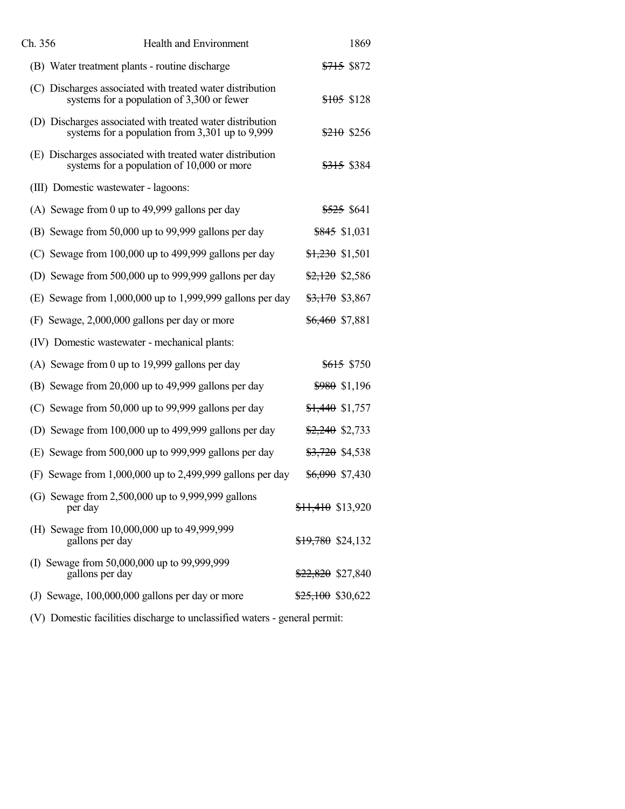| Ch. 356<br><b>Health and Environment</b>                                                                     | 1869                            |
|--------------------------------------------------------------------------------------------------------------|---------------------------------|
| (B) Water treatment plants - routine discharge                                                               | <del>\$715</del> \$872          |
| (C) Discharges associated with treated water distribution<br>systems for a population of 3,300 or fewer      | \$105 \$128                     |
| (D) Discharges associated with treated water distribution<br>systems for a population from 3,301 up to 9,999 | $$210$ \$256                    |
| (E) Discharges associated with treated water distribution<br>systems for a population of 10,000 or more      | <del>\$315</del> \$384          |
| (III) Domestic wastewater - lagoons:                                                                         |                                 |
| (A) Sewage from 0 up to 49,999 gallons per day                                                               | \$525 \$641                     |
| (B) Sewage from 50,000 up to 99,999 gallons per day                                                          | \$845 \$1,031                   |
| (C) Sewage from 100,000 up to 499,999 gallons per day                                                        | \$1,230 \$1,501                 |
| (D) Sewage from 500,000 up to 999,999 gallons per day                                                        | $\frac{$2,120}{$2,120}$ \$2,586 |
| (E) Sewage from $1,000,000$ up to $1,999,999$ gallons per day                                                | $\frac{$3,170}{$3,867}$         |
| (F) Sewage, 2,000,000 gallons per day or more                                                                | \$6,460 \$7,881                 |
| (IV) Domestic wastewater - mechanical plants:                                                                |                                 |
| (A) Sewage from 0 up to 19,999 gallons per day                                                               | <del>\$615</del> \$750          |
| (B) Sewage from 20,000 up to 49,999 gallons per day                                                          | $$980$ \$1,196                  |
| (C) Sewage from 50,000 up to 99,999 gallons per day                                                          | $$1,440$ \$1,757                |
| (D) Sewage from 100,000 up to 499,999 gallons per day                                                        | \$2,240 \$2,733                 |
| (E) Sewage from 500,000 up to 999,999 gallons per day                                                        | <del>\$3,720</del> \$4,538      |
| (F) Sewage from $1,000,000$ up to 2,499,999 gallons per day                                                  | <del>\$6,090</del> \$7,430      |
| (G) Sewage from 2,500,000 up to 9,999,999 gallons<br>per day                                                 | $$11,410$ \$13,920              |
| (H) Sewage from 10,000,000 up to 49,999,999<br>gallons per day                                               | \$19,780 \$24,132               |
| (I) Sewage from 50,000,000 up to 99,999,999<br>gallons per day                                               | <del>\$22,820</del> \$27,840    |
| (J) Sewage, 100,000,000 gallons per day or more                                                              | \$25,100 \$30,622               |
|                                                                                                              |                                 |

(V) Domestic facilities discharge to unclassified waters - general permit: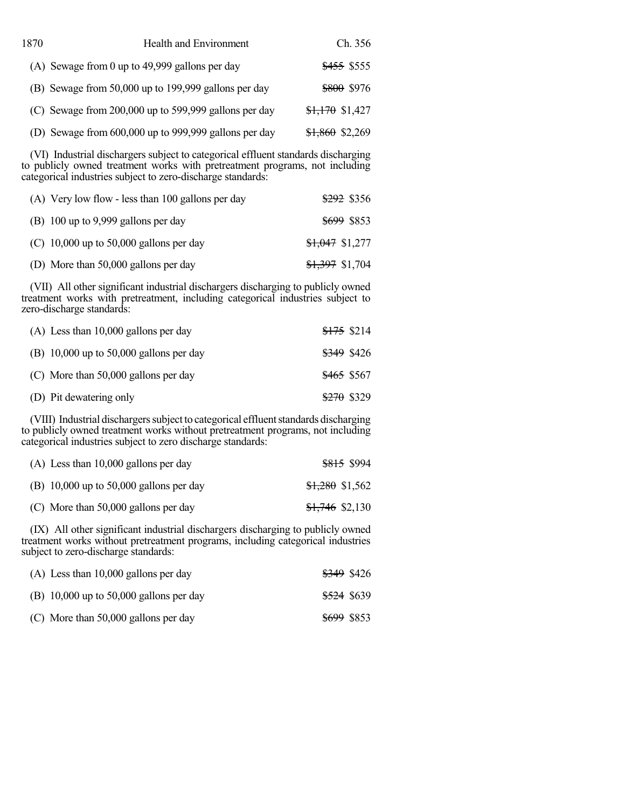| 1870 | <b>Health and Environment</b>                         | Ch. 356                |
|------|-------------------------------------------------------|------------------------|
|      | (A) Sewage from 0 up to 49,999 gallons per day        | <del>\$455</del> \$555 |
|      | (B) Sewage from 50,000 up to 199,999 gallons per day  | \$800 \$976            |
|      | (C) Sewage from 200,000 up to 599,999 gallons per day | $$1,170$ \$1,427       |
|      | (D) Sewage from 600,000 up to 999,999 gallons per day | $$1,860$ \$2,269       |

(VI) Industrial dischargers subject to categorical effluent standards discharging to publicly owned treatment works with pretreatment programs, not including categorical industries subject to zero-discharge standards:

| (A) Very low flow - less than 100 gallons per day | <del>\$292</del> \$356     |
|---------------------------------------------------|----------------------------|
| (B) 100 up to 9,999 gallons per day               | <del>\$699</del> \$853     |
| (C) 10,000 up to 50,000 gallons per day           | $$1,047$ \$1,277           |
| (D) More than 50,000 gallons per day              | <del>\$1,397</del> \$1,704 |

(VII) All other significant industrial dischargers discharging to publicly owned treatment works with pretreatment, including categorical industries subject to zero-discharge standards:

| $(A)$ Less than 10,000 gallons per day  | <del>\$175</del> \$214 |  |
|-----------------------------------------|------------------------|--|
| (B) 10,000 up to 50,000 gallons per day | <del>\$349</del> \$426 |  |
| $(C)$ More than 50,000 gallons per day  | \$465 \$567            |  |
| (D) Pit dewatering only                 | <del>\$270</del> \$329 |  |

(VIII) Industrial dischargers subject to categorical effluent standards discharging to publicly owned treatment works without pretreatment programs, not including categorical industries subject to zero discharge standards:

| $(A)$ Less than 10,000 gallons per day  |                            | <del>\$815</del> \$994 |
|-----------------------------------------|----------------------------|------------------------|
| (B) 10,000 up to 50,000 gallons per day | \$1,280 \$1,562            |                        |
| $(C)$ More than 50,000 gallons per day  | <del>\$1,746</del> \$2,130 |                        |

(IX) All other significant industrial dischargers discharging to publicly owned treatment works without pretreatment programs, including categorical industries subject to zero-discharge standards:

| $(A)$ Less than 10,000 gallons per day  | \$349 \$426            |  |
|-----------------------------------------|------------------------|--|
| (B) 10,000 up to 50,000 gallons per day | <del>\$524</del> \$639 |  |
| $(C)$ More than 50,000 gallons per day  | \$699 \$853            |  |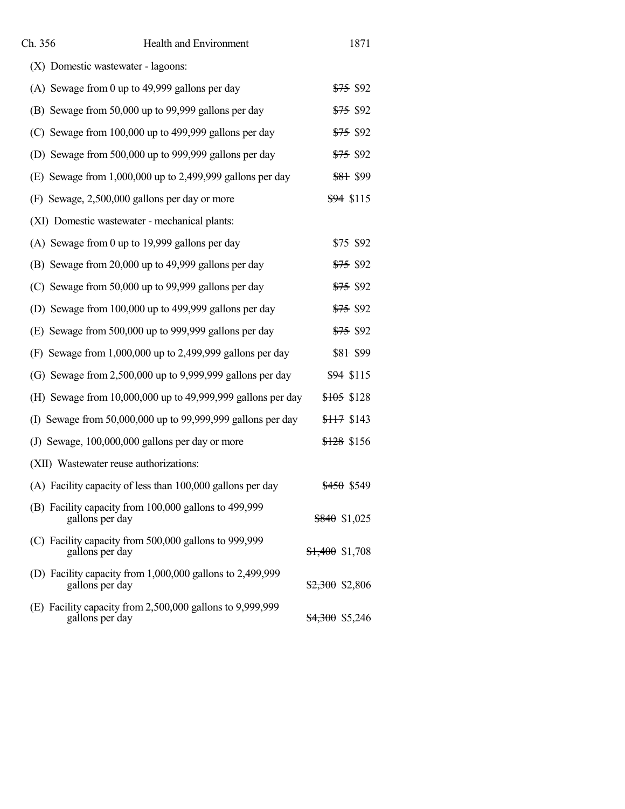| Ch. 356 | <b>Health and Environment</b>                                                | 1871                       |
|---------|------------------------------------------------------------------------------|----------------------------|
|         | (X) Domestic wastewater - lagoons:                                           |                            |
|         | (A) Sewage from 0 up to 49,999 gallons per day                               | <del>\$75</del> \$92       |
|         | (B) Sewage from 50,000 up to 99,999 gallons per day                          | <del>\$75</del> \$92       |
|         | (C) Sewage from 100,000 up to 499,999 gallons per day                        | <del>\$75</del> \$92       |
|         | (D) Sewage from 500,000 up to 999,999 gallons per day                        | <del>\$75</del> \$92       |
|         | (E) Sewage from $1,000,000$ up to 2,499,999 gallons per day                  | <del>\$81</del> \$99       |
|         | (F) Sewage, 2,500,000 gallons per day or more                                | \$94 \$115                 |
|         | (XI) Domestic wastewater - mechanical plants:                                |                            |
|         | (A) Sewage from 0 up to 19,999 gallons per day                               | <del>\$75</del> \$92       |
|         | (B) Sewage from 20,000 up to 49,999 gallons per day                          | <del>\$75</del> \$92       |
|         | (C) Sewage from 50,000 up to 99,999 gallons per day                          | <del>\$75</del> \$92       |
|         | (D) Sewage from 100,000 up to 499,999 gallons per day                        | <del>\$75</del> \$92       |
|         | (E) Sewage from 500,000 up to 999,999 gallons per day                        | <del>\$75</del> \$92       |
|         | (F) Sewage from $1,000,000$ up to 2,499,999 gallons per day                  | <del>\$81</del> \$99       |
|         | (G) Sewage from $2,500,000$ up to $9,999,999$ gallons per day                | \$94 \$115                 |
|         | (H) Sewage from 10,000,000 up to 49,999,999 gallons per day                  | <del>\$105</del> \$128     |
|         | (I) Sewage from 50,000,000 up to 99,999,999 gallons per day                  | <del>\$117</del> \$143     |
|         | (J) Sewage, 100,000,000 gallons per day or more                              | \$128 \$156                |
|         | (XII) Wastewater reuse authorizations:                                       |                            |
|         | (A) Facility capacity of less than 100,000 gallons per day                   | \$450 \$549                |
|         | (B) Facility capacity from 100,000 gallons to 499,999<br>gallons per day     | $$840$ \$1,025             |
|         | (C) Facility capacity from 500,000 gallons to 999,999<br>gallons per day     | $$1,400$ \$1,708           |
|         | (D) Facility capacity from 1,000,000 gallons to 2,499,999<br>gallons per day | $$2,300$ \$2,806           |
|         | (E) Facility capacity from 2,500,000 gallons to 9,999,999<br>gallons per day | <del>\$4,300</del> \$5,246 |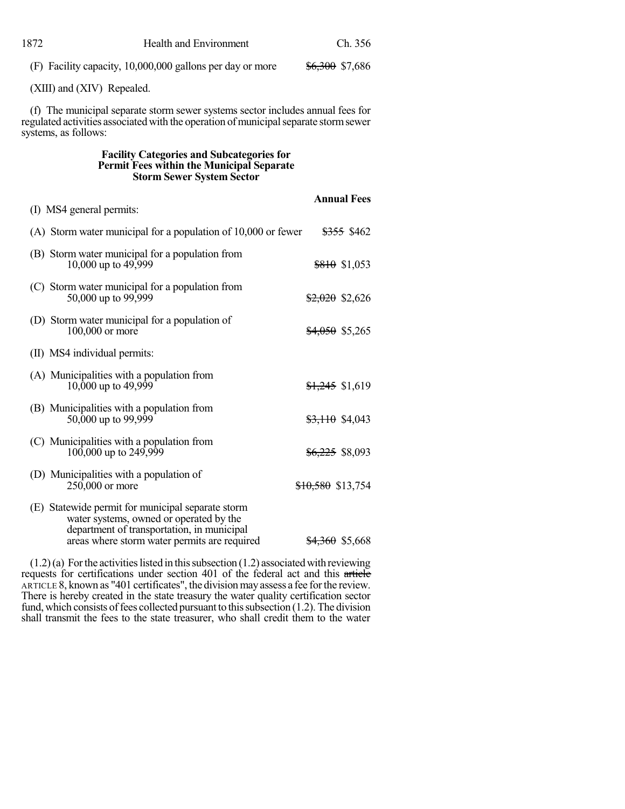| 1872                                                                                                                                                                                           | <b>Health and Environment</b>                                          | Ch. 356                         |
|------------------------------------------------------------------------------------------------------------------------------------------------------------------------------------------------|------------------------------------------------------------------------|---------------------------------|
|                                                                                                                                                                                                | (F) Facility capacity, 10,000,000 gallons per day or more              | <del>\$6,300</del> \$7,686      |
|                                                                                                                                                                                                | (XIII) and (XIV) Repealed.                                             |                                 |
| (f) The municipal separate storm sewer systems sector includes annual fees for<br>regulated activities associated with the operation of municipal separate storm sewer<br>systems, as follows: |                                                                        |                                 |
| <b>Facility Categories and Subcategories for</b><br>Permit Fees within the Municipal Separate<br><b>Storm Sewer System Sector</b>                                                              |                                                                        |                                 |
|                                                                                                                                                                                                |                                                                        | <b>Annual Fees</b>              |
|                                                                                                                                                                                                | (I) MS4 general permits:                                               |                                 |
|                                                                                                                                                                                                | (A) Storm water municipal for a population of $10,000$ or fewer        | \$355 \$462                     |
|                                                                                                                                                                                                | (B) Storm water municipal for a population from<br>10,000 up to 49,999 | <del>\$810</del> \$1,053        |
|                                                                                                                                                                                                | (C) Storm water municipal for a population from<br>50,000 up to 99,999 | $\frac{$2,020}{$2,020}$ \$2,626 |
|                                                                                                                                                                                                | (D) Storm water municipal for a population of<br>100,000 or more       | $$4,050$ \$5,265                |
|                                                                                                                                                                                                | (II) MS4 individual permits:                                           |                                 |
|                                                                                                                                                                                                | (A) Municipalities with a population from                              |                                 |

| (B) Municipalities with a population from<br>50,000 up to 99,999                                                                           | \$3,110 \$4,043   |
|--------------------------------------------------------------------------------------------------------------------------------------------|-------------------|
| (C) Municipalities with a population from<br>$100,000$ up to $249,999$                                                                     | \$6,225 \$8,093   |
| (D) Municipalities with a population of<br>$250,000$ or more                                                                               | \$10,580 \$13,754 |
| (E) Statewide permit for municipal separate storm<br>water systems, owned or operated by the<br>department of transportation, in municipal |                   |

10,000 up to 49,999  $\frac{$1,245}{$1,619}$ 

areas where storm water permits are required  $\frac{$4,360}{$5,668}$ 

 $(1.2)(a)$  For the activities listed in this subsection  $(1.2)$  associated with reviewing requests for certifications under section 401 of the federal act and this article ARTICLE 8, known as "401 certificates", the divisionmayassess a fee forthe review. There is hereby created in the state treasury the water quality certification sector fund, which consists of fees collected pursuant to this subsection  $(1.2)$ . The division shall transmit the fees to the state treasurer, who shall credit them to the water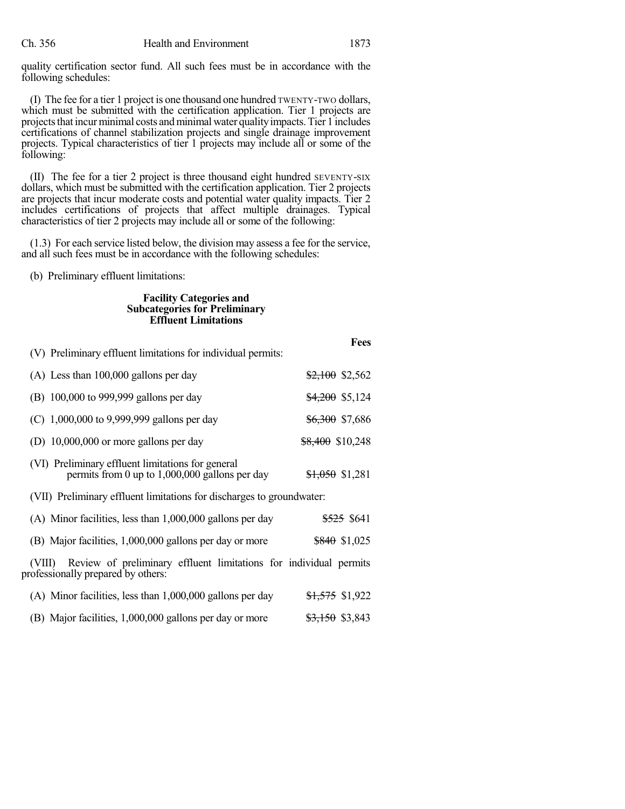quality certification sector fund. All such fees must be in accordance with the following schedules:

(I) The fee for a tier 1 project is one thousand one hundred TWENTY-TWO dollars, which must be submitted with the certification application. Tier 1 projects are projects that incur minimal costs and minimal water quality impacts. Tier 1 includes certifications of channel stabilization projects and single drainage improvement projects. Typical characteristics of tier 1 projects may include all or some of the following:

(II) The fee for a tier 2 project is three thousand eight hundred SEVENTY-SIX dollars, which must be submitted with the certification application. Tier 2 projects are projects that incur moderate costs and potential water quality impacts. Tier 2 includes certifications of projects that affect multiple drainages. Typical characteristics of tier 2 projects may include all or some of the following:

(1.3) For each service listed below, the division may assess a fee for the service, and all such fees must be in accordance with the following schedules:

(b) Preliminary effluent limitations:

## **Facility Categories and Subcategories for Preliminary Effluent Limitations**

|                                                                                                                   | <b>Fees</b>                |
|-------------------------------------------------------------------------------------------------------------------|----------------------------|
| (V) Preliminary effluent limitations for individual permits:                                                      |                            |
| $(A)$ Less than 100,000 gallons per day                                                                           | $$2,100$ \$2,562           |
| (B) 100,000 to 999,999 gallons per day                                                                            | $\frac{$4,200}{$5,124}$    |
| (C) $1,000,000$ to 9,999,999 gallons per day                                                                      | <del>\$6,300</del> \$7,686 |
| (D) $10,000,000$ or more gallons per day                                                                          | $$8,400$ \$10,248          |
| (VI) Preliminary effluent limitations for general<br>permits from 0 up to $1,000,000$ gallons per day             | <del>\$1,050</del> \$1,281 |
| (VII) Preliminary effluent limitations for discharges to groundwater:                                             |                            |
| $(A)$ Minor facilities, less than 1,000,000 gallons per day                                                       | <del>\$525</del> \$641     |
| (B) Major facilities, 1,000,000 gallons per day or more                                                           | \$840 \$1,025              |
| Review of preliminary effluent limitations for individual permits<br>(VIII)<br>professionally prepared by others: |                            |
| $(A)$ Minor facilities, less than $1,000,000$ gallons per day                                                     | <del>\$1,575</del> \$1,922 |
| (B) Major facilities, 1,000,000 gallons per day or more                                                           | <del>\$3,150</del> \$3,843 |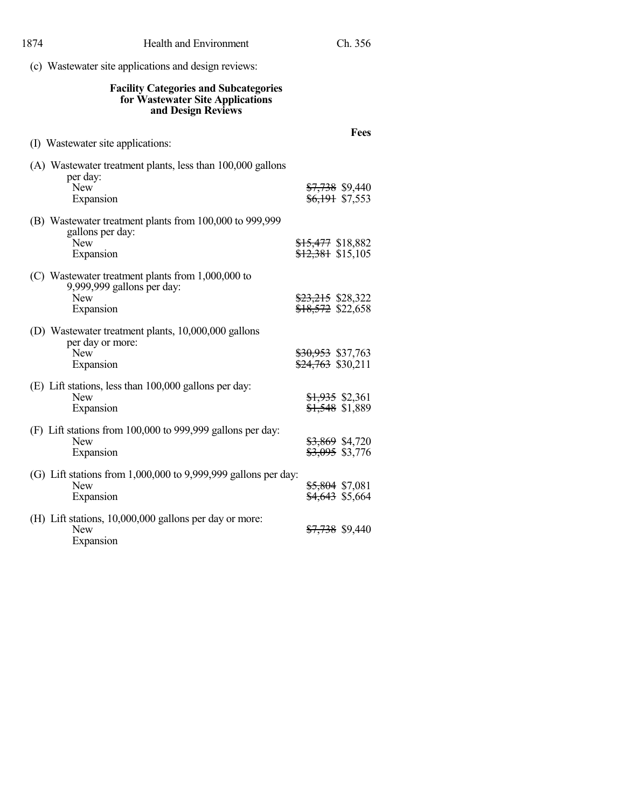| <b>Facility Categories and Subcategories</b><br>for Wastewater Site Applications<br>and Design Reviews     |                                                          |
|------------------------------------------------------------------------------------------------------------|----------------------------------------------------------|
| (I) Wastewater site applications:                                                                          | <b>Fees</b>                                              |
| (A) Wastewater treatment plants, less than 100,000 gallons<br>per day:<br><b>New</b><br>Expansion          | <del>\$7,738</del> \$9,440<br><del>\$6,191</del> \$7,553 |
| (B) Wastewater treatment plants from 100,000 to 999,999<br>gallons per day:<br><b>New</b><br>Expansion     | <del>\$15,477</del> \$18,882<br>$$12,381$ \$15,105       |
| (C) Wastewater treatment plants from 1,000,000 to<br>9,999,999 gallons per day:<br><b>New</b><br>Expansion | \$23,215 \$28,322<br>\$18,572 \$22,658                   |
| (D) Wastewater treatment plants, 10,000,000 gallons<br>per day or more:<br><b>New</b><br>Expansion         | <del>\$30,953</del> \$37,763<br>$$24,763$ \$30,211       |
| (E) Lift stations, less than 100,000 gallons per day:<br><b>New</b><br>Expansion                           | <del>\$1,935</del> \$2,361<br>\$1,548 \$1,889            |
| (F) Lift stations from 100,000 to 999,999 gallons per day:<br><b>New</b><br>Expansion                      | \$3,869 \$4,720<br>\$3,095 \$3,776                       |
| (G) Lift stations from $1,000,000$ to $9,999,999$ gallons per day:<br><b>New</b><br>Expansion              | \$5,804 \$7,081<br>\$4,643 \$5,664                       |
| (H) Lift stations, 10,000,000 gallons per day or more:<br><b>New</b><br>Expansion                          | <del>\$7,738</del> \$9,440                               |

(c) Wastewater site applications and design reviews: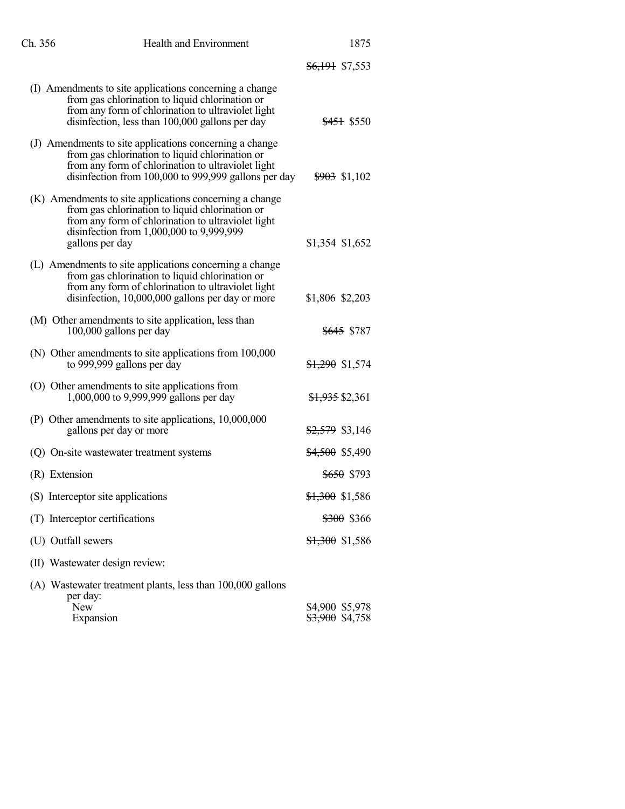| Ch. 356            | <b>Health and Environment</b>                                                                                                                                                                                                   | 1875                                                     |
|--------------------|---------------------------------------------------------------------------------------------------------------------------------------------------------------------------------------------------------------------------------|----------------------------------------------------------|
|                    |                                                                                                                                                                                                                                 | <del>\$6,191</del> \$7,553                               |
|                    | (I) Amendments to site applications concerning a change<br>from gas chlorination to liquid chlorination or<br>from any form of chlorination to ultraviolet light<br>disinfection, less than 100,000 gallons per day             | <del>\$451</del> \$550                                   |
|                    | (J) Amendments to site applications concerning a change<br>from gas chlorination to liquid chlorination or<br>from any form of chlorination to ultraviolet light<br>disinfection from 100,000 to 999,999 gallons per day        | $$903$ \$1,102                                           |
|                    | (K) Amendments to site applications concerning a change<br>from gas chlorination to liquid chlorination or<br>from any form of chlorination to ultraviolet light<br>disinfection from 1,000,000 to 9,999,999<br>gallons per day | <del>\$1,354</del> \$1,652                               |
|                    | (L) Amendments to site applications concerning a change<br>from gas chlorination to liquid chlorination or<br>from any form of chlorination to ultraviolet light<br>disinfection, 10,000,000 gallons per day or more            | <del>\$1,806</del> \$2,203                               |
|                    | (M) Other amendments to site application, less than<br>100,000 gallons per day                                                                                                                                                  | <del>\$645</del> \$787                                   |
|                    | (N) Other amendments to site applications from 100,000<br>to 999,999 gallons per day                                                                                                                                            | $$1,290$ \$1,574                                         |
|                    | (O) Other amendments to site applications from<br>1,000,000 to 9,999,999 gallons per day                                                                                                                                        | <del>\$1,935</del> \$2,361                               |
|                    | (P) Other amendments to site applications, 10,000,000<br>gallons per day or more                                                                                                                                                | \$2,579 \$3,146                                          |
|                    | (Q) On-site wastewater treatment systems                                                                                                                                                                                        | <del>\$4,500</del> \$5,490                               |
| (R) Extension      |                                                                                                                                                                                                                                 | <del>\$650</del> \$793                                   |
|                    | (S) Interceptor site applications                                                                                                                                                                                               | \$1,300 \$1,586                                          |
|                    | (T) Interceptor certifications                                                                                                                                                                                                  | <del>\$300</del> \$366                                   |
| (U) Outfall sewers |                                                                                                                                                                                                                                 | <del>\$1,300</del> \$1,586                               |
|                    | (II) Wastewater design review:                                                                                                                                                                                                  |                                                          |
| per day:           | (A) Wastewater treatment plants, less than 100,000 gallons                                                                                                                                                                      |                                                          |
| New                | Expansion                                                                                                                                                                                                                       | <del>\$4,900</del> \$5,978<br><del>\$3,900</del> \$4,758 |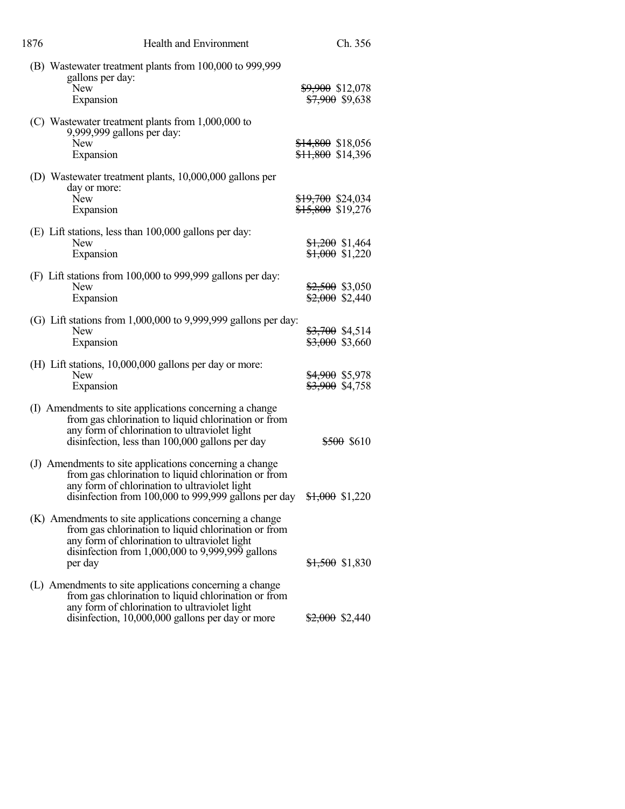| 1876 | Health and Environment                                                                                                                                                                                                                                   | Ch. 356                                           |
|------|----------------------------------------------------------------------------------------------------------------------------------------------------------------------------------------------------------------------------------------------------------|---------------------------------------------------|
|      | (B) Wastewater treatment plants from 100,000 to 999,999<br>gallons per day:<br>New<br>Expansion                                                                                                                                                          | \$9,900 \$12,078<br><del>\$7,900</del> \$9,638    |
|      | (C) Wastewater treatment plants from 1,000,000 to<br>9,999,999 gallons per day:<br>New<br>Expansion                                                                                                                                                      | \$14,800 \$18,056<br><del>\$11,800</del> \$14,396 |
|      | (D) Wastewater treatment plants, 10,000,000 gallons per<br>day or more:<br><b>New</b><br>Expansion                                                                                                                                                       | \$19,700 \$24,034<br><del>\$15,800</del> \$19,276 |
|      | (E) Lift stations, less than 100,000 gallons per day:<br><b>New</b><br>Expansion                                                                                                                                                                         | $$1,200$ \$1,464<br>$$1,000$ \$1,220              |
|      | (F) Lift stations from 100,000 to 999,999 gallons per day:<br><b>New</b><br>Expansion                                                                                                                                                                    | $$2,500$ \$3,050<br>$$2,000$ \$2,440              |
|      | (G) Lift stations from $1,000,000$ to $9,999,999$ gallons per day:<br><b>New</b><br>Expansion                                                                                                                                                            | $$3,700$ \$4,514<br>\$3,000 \$3,660               |
|      | (H) Lift stations, 10,000,000 gallons per day or more:<br><b>New</b><br>Expansion                                                                                                                                                                        | <del>\$4,900</del> \$5,978<br>\$3,900 \$4,758     |
|      | (I) Amendments to site applications concerning a change<br>from gas chlorination to liquid chlorination or from<br>any form of chlorination to ultraviolet light<br>disinfection, less than 100,000 gallons per day                                      | \$500 \$610                                       |
|      | (J) Amendments to site applications concerning a change<br>from gas chlorination to liquid chlorination or from<br>any form of chlorination to ultraviolet light<br>disinfection from 100,000 to 999,999 gallons per day $\frac{$1,000}{$1,000}$ \$1,220 |                                                   |
|      | (K) Amendments to site applications concerning a change<br>from gas chlorination to liquid chlorination or from<br>any form of chlorination to ultraviolet light<br>disinfection from $1,000,000$ to $9,999,999$ gallons<br>per day                      | <del>\$1,500</del> \$1,830                        |
|      | (L) Amendments to site applications concerning a change<br>from gas chlorination to liquid chlorination or from<br>any form of chlorination to ultraviolet light<br>disinfection, 10,000,000 gallons per day or more                                     | $$2,000$ \$2,440                                  |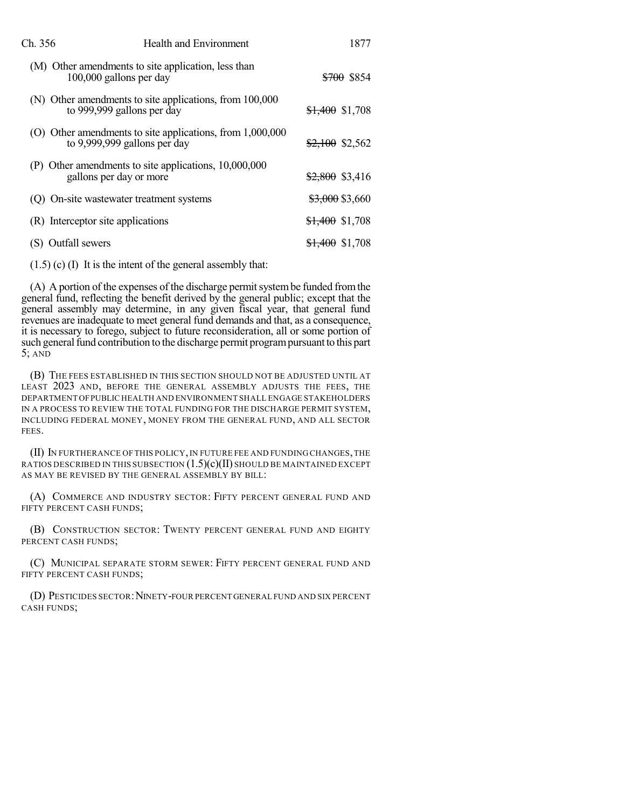| Ch. 356        | <b>Health and Environment</b>                                                             | 1877                       |
|----------------|-------------------------------------------------------------------------------------------|----------------------------|
|                | (M) Other amendments to site application, less than<br>100,000 gallons per day            | <del>\$700</del> \$854     |
|                | (N) Other amendments to site applications, from 100,000<br>to 999,999 gallons per day     | <del>\$1,400</del> \$1,708 |
|                | (O) Other amendments to site applications, from 1,000,000<br>to 9,999,999 gallons per day | <del>\$2,100</del> \$2,562 |
|                | (P) Other amendments to site applications, 10,000,000<br>gallons per day or more          | <del>\$2,800</del> \$3,416 |
|                | (Q) On-site wastewater treatment systems                                                  | \$3,000 \$3,660            |
|                | (R) Interceptor site applications                                                         | <del>\$1,400</del> \$1,708 |
| Outfall sewers |                                                                                           | <del>\$1,400</del> \$1,708 |
|                |                                                                                           |                            |

(1.5) (c) (I) It is the intent of the general assembly that:

(A) A portion of the expenses of the discharge permit system be funded from the general fund, reflecting the benefit derived by the general public; except that the general assembly may determine, in any given fiscal year, that general fund revenues are inadequate to meet general fund demands and that, as a consequence, it is necessary to forego, subject to future reconsideration, all or some portion of such general fund contribution to the discharge permit program pursuant to this part 5; AND

(B) THE FEES ESTABLISHED IN THIS SECTION SHOULD NOT BE ADJUSTED UNTIL AT LEAST 2023 AND, BEFORE THE GENERAL ASSEMBLY ADJUSTS THE FEES, THE DEPARTMENT OFPUBLIC HEALTH AND ENVIRONMENT SHALL ENGAGE STAKEHOLDERS IN A PROCESS TO REVIEW THE TOTAL FUNDING FOR THE DISCHARGE PERMIT SYSTEM, INCLUDING FEDERAL MONEY, MONEY FROM THE GENERAL FUND, AND ALL SECTOR FEES.

(II) IN FURTHERANCE OF THIS POLICY,IN FUTURE FEE AND FUNDING CHANGES,THE RATIOS DESCRIBED IN THIS SUBSECTION  $(1.5)(c)(II)$  should be maintained except AS MAY BE REVISED BY THE GENERAL ASSEMBLY BY BILL:

(A) COMMERCE AND INDUSTRY SECTOR: FIFTY PERCENT GENERAL FUND AND FIFTY PERCENT CASH FUNDS:

(B) CONSTRUCTION SECTOR: TWENTY PERCENT GENERAL FUND AND EIGHTY PERCENT CASH FUNDS;

(C) MUNICIPAL SEPARATE STORM SEWER: FIFTY PERCENT GENERAL FUND AND FIFTY PERCENT CASH FUNDS;

(D) PESTICIDES SECTOR:NINETY-FOUR PERCENT GENERAL FUND AND SIX PERCENT CASH FUNDS;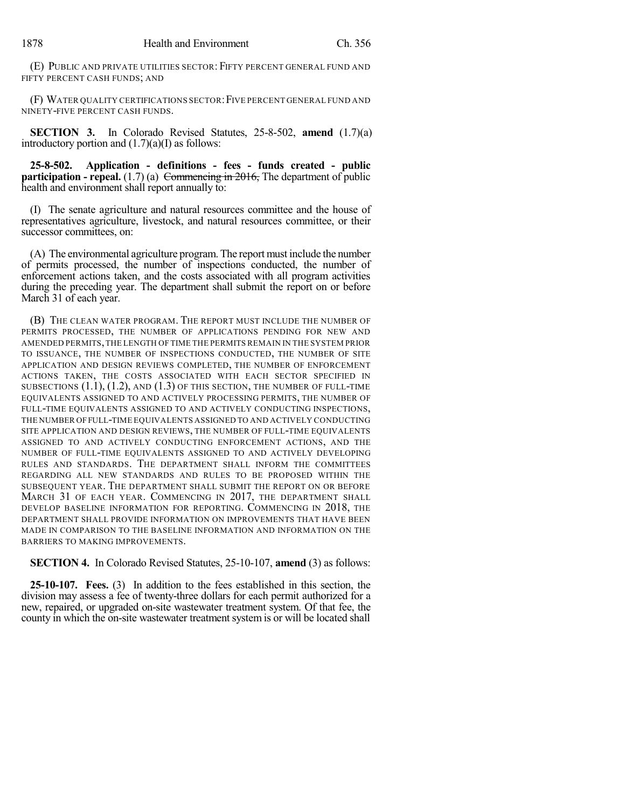(E) PUBLIC AND PRIVATE UTILITIES SECTOR: FIFTY PERCENT GENERAL FUND AND FIFTY PERCENT CASH FUNDS; AND

(F) WATER QUALITY CERTIFICATIONS SECTOR:FIVE PERCENT GENERAL FUND AND NINETY-FIVE PERCENT CASH FUNDS.

**SECTION 3.** In Colorado Revised Statutes, 25-8-502, **amend** (1.7)(a) introductory portion and  $(1.7)(a)$  as follows:

**25-8-502. Application - definitions - fees - funds created - public participation - repeal.** (1.7) (a) Commencing in 2016, The department of public health and environment shall report annually to:

(I) The senate agriculture and natural resources committee and the house of representatives agriculture, livestock, and natural resources committee, or their successor committees, on:

(A) The environmental agriculture program. The report must include the number of permits processed, the number of inspections conducted, the number of enforcement actions taken, and the costs associated with all program activities during the preceding year. The department shall submit the report on or before March 31 of each year.

(B) THE CLEAN WATER PROGRAM. THE REPORT MUST INCLUDE THE NUMBER OF PERMITS PROCESSED, THE NUMBER OF APPLICATIONS PENDING FOR NEW AND AMENDED PERMITS,THE LENGTH OFTIME THE PERMITS REMAIN IN THE SYSTEM PRIOR TO ISSUANCE, THE NUMBER OF INSPECTIONS CONDUCTED, THE NUMBER OF SITE APPLICATION AND DESIGN REVIEWS COMPLETED, THE NUMBER OF ENFORCEMENT ACTIONS TAKEN, THE COSTS ASSOCIATED WITH EACH SECTOR SPECIFIED IN SUBSECTIONS  $(1.1)$ ,  $(1.2)$ , and  $(1.3)$  of this section, the number of full-time EQUIVALENTS ASSIGNED TO AND ACTIVELY PROCESSING PERMITS, THE NUMBER OF FULL-TIME EQUIVALENTS ASSIGNED TO AND ACTIVELY CONDUCTING INSPECTIONS, THE NUMBER OFFULL-TIME EQUIVALENTS ASSIGNED TO AND ACTIVELY CONDUCTING SITE APPLICATION AND DESIGN REVIEWS, THE NUMBER OF FULL-TIME EQUIVALENTS ASSIGNED TO AND ACTIVELY CONDUCTING ENFORCEMENT ACTIONS, AND THE NUMBER OF FULL-TIME EQUIVALENTS ASSIGNED TO AND ACTIVELY DEVELOPING RULES AND STANDARDS. THE DEPARTMENT SHALL INFORM THE COMMITTEES REGARDING ALL NEW STANDARDS AND RULES TO BE PROPOSED WITHIN THE SUBSEQUENT YEAR. THE DEPARTMENT SHALL SUBMIT THE REPORT ON OR BEFORE MARCH 31 OF EACH YEAR. COMMENCING IN 2017, THE DEPARTMENT SHALL DEVELOP BASELINE INFORMATION FOR REPORTING. COMMENCING IN 2018, THE DEPARTMENT SHALL PROVIDE INFORMATION ON IMPROVEMENTS THAT HAVE BEEN MADE IN COMPARISON TO THE BASELINE INFORMATION AND INFORMATION ON THE BARRIERS TO MAKING IMPROVEMENTS.

**SECTION 4.** In Colorado Revised Statutes, 25-10-107, **amend** (3) as follows:

**25-10-107. Fees.** (3) In addition to the fees established in this section, the division may assess a fee of twenty-three dollars for each permit authorized for a new, repaired, or upgraded on-site wastewater treatment system. Of that fee, the county in which the on-site wastewater treatment system is or will be located shall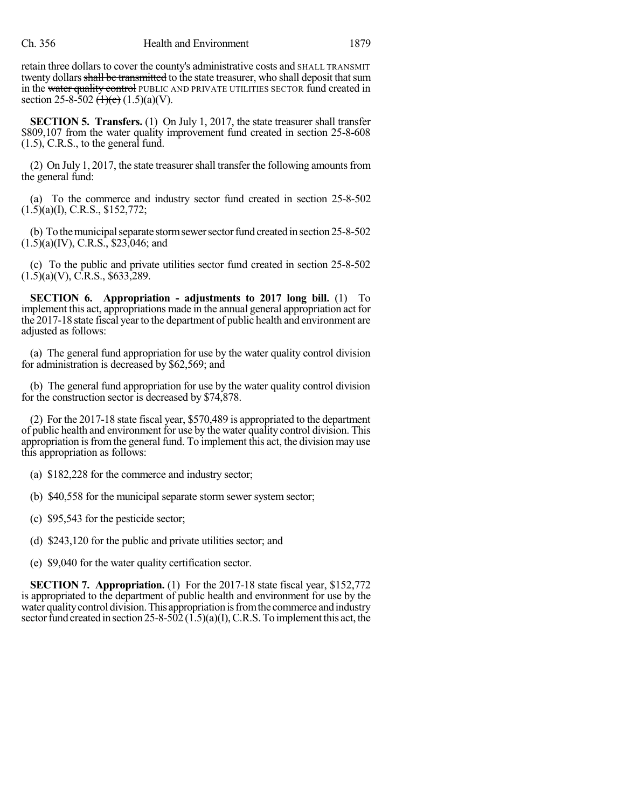retain three dollars to cover the county's administrative costs and SHALL TRANSMIT twenty dollars shall be transmitted to the state treasurer, who shall deposit that sum in the water quality control PUBLIC AND PRIVATE UTILITIES SECTOR fund created in section 25-8-502  $\left(\frac{1}{e}\right)(1.5)(a)(V)$ .

**SECTION 5. Transfers.** (1) On July 1, 2017, the state treasurer shall transfer \$809,107 from the water quality improvement fund created in section 25-8-608 (1.5), C.R.S., to the general fund.

(2) On July 1, 2017, the state treasurer shall transfer the following amounts from the general fund:

(a) To the commerce and industry sector fund created in section 25-8-502 (1.5)(a)(I), C.R.S., \$152,772;

(b) To the municipal separate storm sewer sector fund created in section 25-8-502  $(1.5)(a)(IV)$ , C.R.S., \$23,046; and

(c) To the public and private utilities sector fund created in section 25-8-502  $(1.5)(a)(V)$ , C.R.S., \$633, 289.

**SECTION 6. Appropriation - adjustments to 2017 long bill.** (1) To implement this act, appropriations made in the annual general appropriation act for the 2017-18 state fiscal year to the department of public health and environment are adjusted as follows:

(a) The general fund appropriation for use by the water quality control division for administration is decreased by \$62,569; and

(b) The general fund appropriation for use by the water quality control division for the construction sector is decreased by \$74,878.

(2) For the 2017-18 state fiscal year, \$570,489 is appropriated to the department of public health and environment for use by the water quality control division. This appropriation is from the general fund. To implement this act, the division may use this appropriation as follows:

(a) \$182,228 for the commerce and industry sector;

(b) \$40,558 for the municipal separate storm sewer system sector;

(c) \$95,543 for the pesticide sector;

(d) \$243,120 for the public and private utilities sector; and

(e) \$9,040 for the water quality certification sector.

**SECTION 7. Appropriation.** (1) For the 2017-18 state fiscal year, \$152,772 is appropriated to the department of public health and environment for use by the water quality control division. This appropriation is from the commerce and industry sector fund created in section 25-8-502 (1.5)(a)(I), C.R.S. To implement this act, the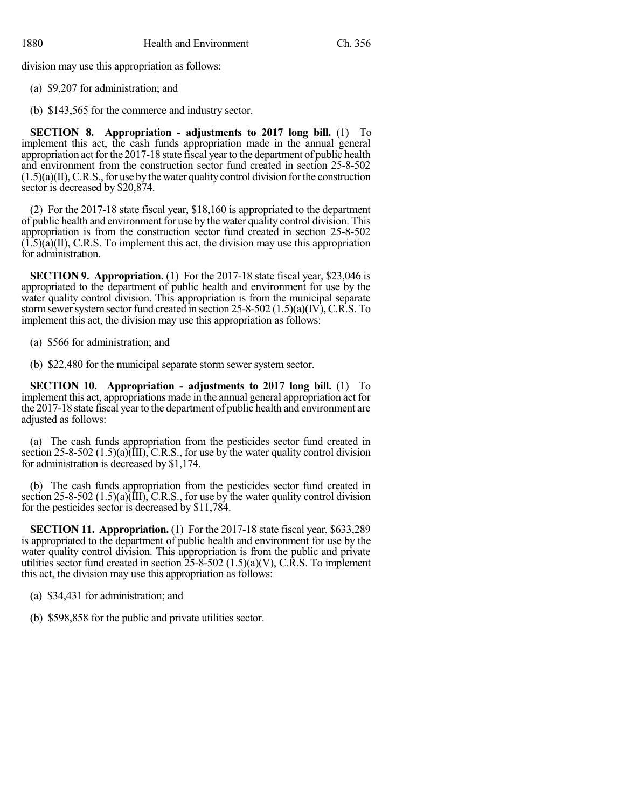division may use this appropriation as follows:

- (a) \$9,207 for administration; and
- (b) \$143,565 for the commerce and industry sector.

**SECTION 8. Appropriation - adjustments to 2017 long bill.** (1) To implement this act, the cash funds appropriation made in the annual general appropriation act for the 2017-18 state fiscal year to the department of public health and environment from the construction sector fund created in section 25-8-502  $(1.5)(a)(II)$ , C.R.S., for use by the water quality control division for the construction sector is decreased by \$20,874.

(2) For the 2017-18 state fiscal year, \$18,160 is appropriated to the department of public health and environment for use by the water quality control division. This appropriation is from the construction sector fund created in section 25-8-502  $(1.5)(a)(II)$ , C.R.S. To implement this act, the division may use this appropriation for administration.

**SECTION 9. Appropriation.** (1) For the 2017-18 state fiscal year, \$23,046 is appropriated to the department of public health and environment for use by the water quality control division. This appropriation is from the municipal separate storm sewer system sector fund created in section 25-8-502  $(1.5)(a)(IV)$ , C.R.S. To implement this act, the division may use this appropriation as follows:

(a) \$566 for administration; and

(b) \$22,480 for the municipal separate storm sewer system sector.

**SECTION 10. Appropriation - adjustments to 2017 long bill.** (1) To implement this act, appropriations made in the annual general appropriation act for the 2017-18 state fiscal year to the department of public health and environment are adjusted as follows:

(a) The cash funds appropriation from the pesticides sector fund created in section 25-8-502 (1.5)(a) $(\hat{III})$ , C.R.S., for use by the water quality control division for administration is decreased by \$1,174.

(b) The cash funds appropriation from the pesticides sector fund created in section 25-8-502  $(1.5)(a)$  $(\overline{III})$ , C.R.S., for use by the water quality control division for the pesticides sector is decreased by \$11,784.

**SECTION 11. Appropriation.** (1) For the 2017-18 state fiscal year, \$633,289 is appropriated to the department of public health and environment for use by the water quality control division. This appropriation is from the public and private utilities sector fund created in section  $25-\sqrt{8}-502$  (1.5)(a)(V), C.R.S. To implement this act, the division may use this appropriation as follows:

(a) \$34,431 for administration; and

(b) \$598,858 for the public and private utilities sector.